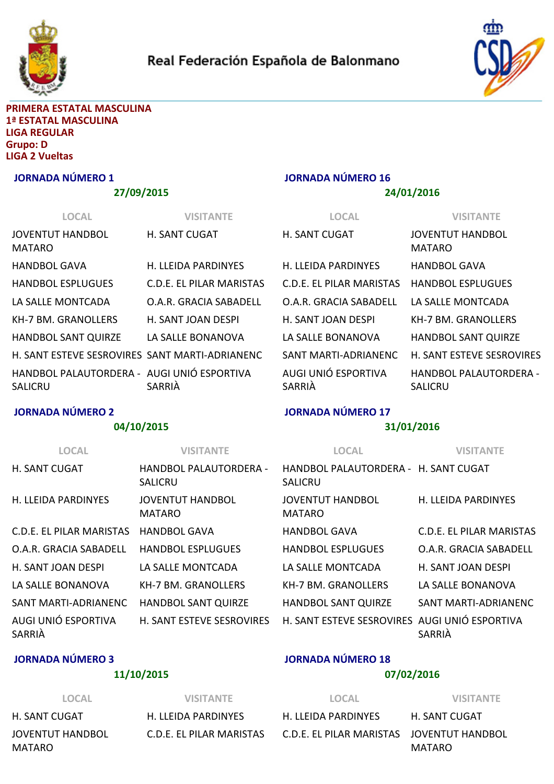



#### PRIMERA ESTATAL MASCULINA 1ª ESTATAL MASCULINA LIGA REGULAR Grupo: D LIGA 2 Vueltas

#### JORNADA NÚMERO 1

#### 27/09/2015

| <b>LOCAL</b>                                          | <b>VISITANTE</b>           |
|-------------------------------------------------------|----------------------------|
| JOVENTUT HANDBOL<br>MATARO                            | <b>H. SANT CUGAT</b>       |
| HANDBOL GAVA                                          | <b>H. LLEIDA PARDINYES</b> |
| <b>HANDBOL ESPLUGUES</b>                              | C.D.F. FL PILAR MARISTAS   |
| LA SALLE MONTCADA                                     | O.A.R. GRACIA SABADFLL     |
| KH-7 BM. GRANOLLFRS                                   | H. SANT JOAN DESPI         |
| HANDBOL SANT QUIRZE                                   | LA SALLE BONANOVA          |
| H. SANT ESTEVE SESROVIRES SANT MARTI-ADRIANENC        |                            |
| HANDBOL PALAUTORDERA - AUGI UNIÓ ESPORTIVA<br>SALICRU | SARRIÀ                     |

# JORNADA NÚMERO 16

#### 24/01/2016

| LOCAL                         | <b>VISITANTE</b>                  |
|-------------------------------|-----------------------------------|
| <b>H. SANT CUGAT</b>          | <b>JOVENTUT HANDBOL</b><br>MATARO |
| <b>H. LLFIDA PARDINYFS</b>    | HANDBOL GAVA                      |
| C.D.F. FL PILAR MARISTAS      | <b>HANDBOL ESPLUGUES</b>          |
| O.A.R. GRACIA SABADFLL        | LA SALLF MONTCADA                 |
| H. SANT JOAN DESPI            | KH-7 BM. GRANOLLFRS               |
| LA SALLF BONANOVA             | <b>HANDBOL SANT QUIRZE</b>        |
| SANT MARTI-ADRIANENC          | <b>H. SANT ESTEVE SESROVIRES</b>  |
| AUGI UNIÓ ESPORTIVA<br>SARRIA | HANDBOL PALAUTORDFRA -<br>SALICRU |

# JORNADA NÚMERO 2

#### 04/10/2015

#### JORNADA NÚMERO 17

# 31/01/2016

| <b>LOCAL</b>                  | VISITANTE                                | <b>LOCAL</b>                                           | <b>VISITANTE</b>         |
|-------------------------------|------------------------------------------|--------------------------------------------------------|--------------------------|
| <b>H. SANT CUGAT</b>          | HANDBOL PALAUTORDERA -<br><b>SALICRU</b> | HANDBOL PALAUTORDERA - H. SANT CUGAT<br><b>SALICRU</b> |                          |
| H. LLFIDA PARDINYFS           | <b>JOVENTUT HANDBOL</b><br><b>MATARO</b> | <b>JOVENTUT HANDBOL</b><br><b>MATARO</b>               | H. LLEIDA PARDINYES      |
| C.D.F. FL PILAR MARISTAS      | <b>HANDBOL GAVA</b>                      | HANDBOL GAVA                                           | C.D.E. EL PILAR MARISTAS |
| O.A.R. GRACIA SABADELL        | HANDBOL FSPLUGUFS                        | <b>HANDBOL ESPLUGUES</b>                               | O.A.R. GRACIA SABADELL   |
| H. SANT JOAN DESPI            | LA SALLF MONTCADA                        | LA SALLE MONTCADA                                      | H. SANT JOAN DESPI       |
| LA SALLE BONANOVA             | KH-7 BM. GRANOLLFRS                      | KH-7 BM. GRANOLLFRS                                    | LA SALLE BONANOVA        |
| SANT MARTI-ADRIANENC          | <b>HANDBOL SANT QUIRZE</b>               | <b>HANDBOL SANT QUIRZE</b>                             | SANT MARTI-ADRIANENC     |
| AUGI UNIÓ ESPORTIVA<br>SARRIÀ | <b>H. SANT ESTEVE SESROVIRES</b>         | H. SANT ESTEVE SESROVIRES AUGI UNIÓ ESPORTIVA          | SARRIÀ                   |

# JORNADA NÚMERO 3

MATARO

# 11/10/2015

# JORNADA NÚMERO 18

# 07/02/2016

LOCAL VISITANTE H. SANT CUGAT H. LLEIDA PARDINYES JOVENTUT HANDBOL C.D.E. EL PILAR MARISTAS

H. LLEIDA PARDINYES H. SANT CUGAT C.D.E. EL PILAR MARISTAS JOVENTUT HANDBOL

LOCAL VISITANTE

MATARO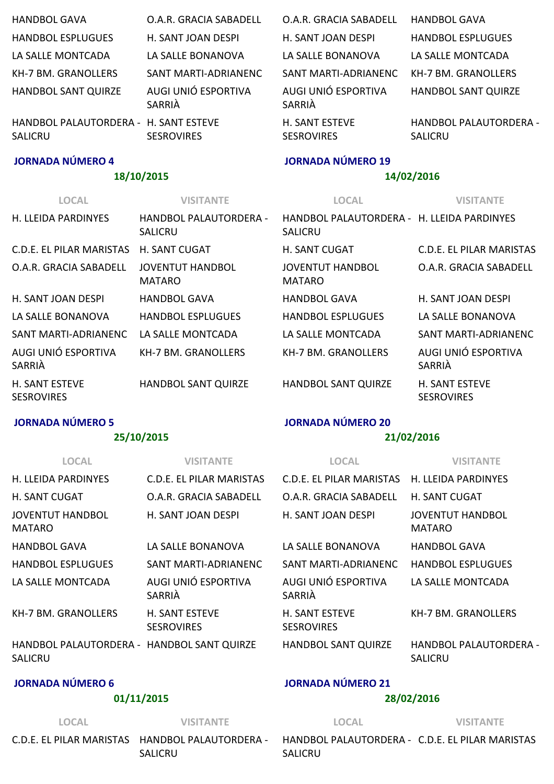| <b>HANDBOL GAVA</b>                      | O.A.R. GRACIA SABADFLL                          | O.A.R. GRACIA SABADFLL                                       | <b>HANDBOL GAVA</b>                      |
|------------------------------------------|-------------------------------------------------|--------------------------------------------------------------|------------------------------------------|
| <b>HANDBOL ESPLUGUES</b>                 | H. SANT JOAN DESPI                              | H. SANT JOAN DESPI                                           | <b>HANDBOL ESPLUGUES</b>                 |
| LA SALLE MONTCADA                        | LA SALLE BONANOVA                               | LA SALLE BONANOVA                                            | LA SALLE MONTCADA                        |
| KH-7 BM. GRANOLLERS                      | SANT MARTI-ADRIANENC                            | SANT MARTI-ADRIANENC                                         | KH-7 BM. GRANOLLERS                      |
| <b>HANDBOL SANT QUIRZE</b>               | AUGI UNIÓ ESPORTIVA<br>SARRIÀ                   | AUGI UNIÓ ESPORTIVA<br>SARRIÀ                                | HANDBOL SANT QUIRZE                      |
| HANDBOL PALAUTORDERA -<br><b>SALICRU</b> | <b>H. SANT ESTEVE</b><br><b>SESROVIRES</b>      | <b>H. SANT ESTEVE</b><br><b>SESROVIRES</b>                   | HANDBOL PALAUTORDERA -<br><b>SALICRU</b> |
| <b>JORNADA NÚMERO 4</b>                  |                                                 | <b>JORNADA NÚMERO 19</b>                                     |                                          |
|                                          |                                                 |                                                              |                                          |
|                                          | 18/10/2015                                      |                                                              | 14/02/2016                               |
| <b>LOCAL</b>                             | <b>VISITANTE</b>                                | <b>LOCAL</b>                                                 | <b>VISITANTE</b>                         |
| H. LLEIDA PARDINYES                      | <b>HANDBOL PALAUTORDERA -</b><br><b>SALICRU</b> | HANDBOL PALAUTORDFRA - H. LLFIDA PARDINYES<br><b>SALICRU</b> |                                          |
| C.D.E. EL PILAR MARISTAS                 | <b>H. SANT CUGAT</b>                            | <b>H. SANT CUGAT</b>                                         | C.D.E. EL PILAR MARISTAS                 |
| O.A.R. GRACIA SABADELL                   | <b>JOVENTUT HANDBOL</b><br><b>MATARO</b>        | <b>JOVENTUT HANDBOL</b><br><b>MATARO</b>                     | O.A.R. GRACIA SABADELL                   |
| H. SANT JOAN DESPI                       | <b>HANDBOL GAVA</b>                             | <b>HANDBOL GAVA</b>                                          | H. SANT JOAN DESPI                       |
| LA SALLE BONANOVA                        | <b>HANDBOL ESPLUGUES</b>                        | <b>HANDBOL ESPLUGUES</b>                                     | LA SALLE BONANOVA                        |

| SANT MARTI-ADRIANENC LA SALLE MONTCADA |                            | LA SALLE MONTCADA          | SANT MARTI-ADRIANENC                |
|----------------------------------------|----------------------------|----------------------------|-------------------------------------|
| AUGI UNIÓ ESPORTIVA<br>SARRIÀ          | KH-7 BM. GRANOLLERS        | KH-7 BM. GRANOLLERS        | AUGI UNIÓ ESPORTIVA<br>SARRIÀ       |
| H. SANT ESTEVE<br><b>SESROVIRES</b>    | <b>HANDBOL SANT QUIRZE</b> | <b>HANDBOL SANT QUIRZE</b> | H. SANT ESTEVE<br><b>SESROVIRES</b> |

#### JORNADA NÚMERO 5

#### 25/10/2015

### JORNADA NÚMERO 20

# 21/02/2016

| <b>LOCAL</b>                                                 | <b>VISITANTE</b>                    | <b>LOCAL</b>                               | <b>VISITANTE</b>                         |
|--------------------------------------------------------------|-------------------------------------|--------------------------------------------|------------------------------------------|
| H. LLFIDA PARDINYFS                                          | C.D.F. FL PILAR MARISTAS            | C.D.F. FL PILAR MARISTAS                   | H. LLEIDA PARDINYES                      |
| <b>H. SANT CUGAT</b>                                         | O.A.R. GRACIA SABADELL              | O.A.R. GRACIA SABADELL                     | <b>H. SANT CUGAT</b>                     |
| <b>JOVENTUT HANDBOL</b><br><b>MATARO</b>                     | H. SANT JOAN DESPI                  | H. SANT JOAN DESPI                         | <b>JOVENTUT HANDBOL</b><br><b>MATARO</b> |
| <b>HANDBOL GAVA</b>                                          | LA SALLE BONANOVA                   | LA SALLF BONANOVA                          | <b>HANDBOL GAVA</b>                      |
| <b>HANDBOL ESPLUGUES</b>                                     | SANT MARTI-ADRIANENC                | SANT MARTI-ADRIANENC                       | HANDBOL FSPLUGUFS                        |
| LA SALLE MONTCADA                                            | AUGI UNIÓ ESPORTIVA<br>SARRIÀ       | AUGI UNIÓ ESPORTIVA<br>SARRIÀ              | LA SALLE MONTCADA                        |
| KH-7 BM. GRANOLLERS                                          | H. SANT ESTEVE<br><b>SESROVIRES</b> | <b>H. SANT ESTEVE</b><br><b>SESROVIRES</b> | KH-7 BM. GRANOLLERS                      |
| HANDBOL PALAUTORDERA - HANDBOL SANT QUIRZE<br><b>SALICRU</b> |                                     | <b>HANDBOL SANT QUIRZE</b>                 | HANDBOL PALAUTORDERA -<br><b>SALICRU</b> |

# JORNADA NÚMERO 6

#### 01/11/2015

# JORNADA NÚMERO 21

# 28/02/2016

# LOCAL VISITANTE C.D.E. EL PILAR MARISTAS HANDBOL PALAUTORDERA ‐ SALICRU

LOCAL VISITANTE

HANDBOL PALAUTORDERA ‐ C.D.E. EL PILAR MARISTASSALICRU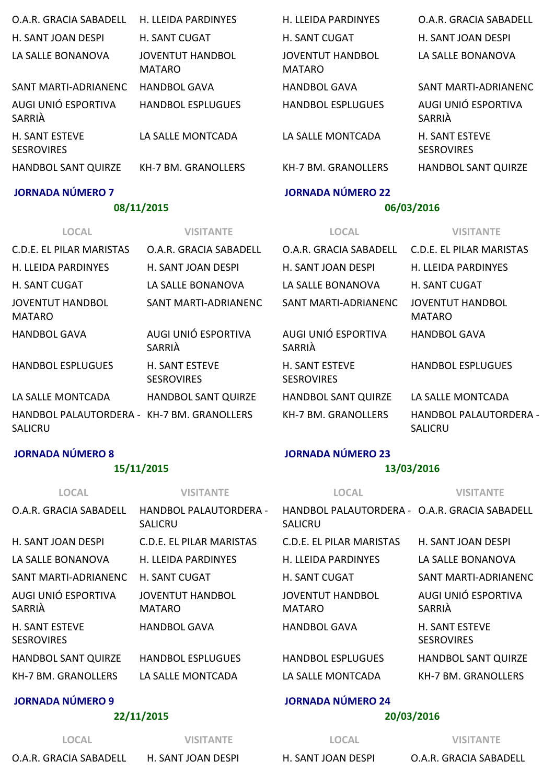| O.A.R. GRACIA SABADELL                     | H. LLEIDA PARDINYES                      | H. LLEIDA PARDINYES                      | O.A.R. GRACIA SABADELL                     |
|--------------------------------------------|------------------------------------------|------------------------------------------|--------------------------------------------|
| H. SANT JOAN DESPI                         | <b>H. SANT CUGAT</b>                     | <b>H. SANT CUGAT</b>                     | H. SANT JOAN DESPI                         |
| LA SALLE BONANOVA                          | <b>JOVENTUT HANDBOL</b><br><b>MATARO</b> | <b>JOVENTUT HANDBOL</b><br><b>MATARO</b> | LA SALLE BONANOVA                          |
| SANT MARTI-ADRIANENC                       | <b>HANDBOL GAVA</b>                      | <b>HANDBOL GAVA</b>                      | SANT MARTI-ADRIANENC                       |
| AUGI UNIÓ ESPORTIVA<br>SARRIÀ              | <b>HANDBOL ESPLUGUES</b>                 | <b>HANDBOL ESPLUGUES</b>                 | AUGI UNIÓ ESPORTIVA<br>SARRIÀ              |
| <b>H. SANT ESTEVE</b><br><b>SESROVIRES</b> | LA SALLE MONTCADA                        | LA SALLE MONTCADA                        | <b>H. SANT ESTEVE</b><br><b>SESROVIRES</b> |
| <b>HANDBOL SANT QUIRZE</b>                 | <b>KH-7 BM. GRANOLLERS</b>               | KH-7 BM. GRANOLLERS                      | <b>HANDBOL SANT QUIRZE</b>                 |
| <b>JORNADA NÚMERO 7</b>                    |                                          | <b>JORNADA NÚMERO 22</b>                 |                                            |

#### JORNADA NÚMERO 7

#### 08/11/2015

#### LOCAL VISITANTE C.D.E. EL PILAR MARISTAS O.A.R. GRACIA SABADELL H. LLEIDA PARDINYES H. SANT JOAN DESPI H. SANT CUGAT LA SALLE BONANOVA JOVENTUT HANDBOL MATARO SANT MARTI‐ADRIANENC HANDBOL GAVA AUGI UNIÓ ESPORTIVA SARRIÀ HANDBOL ESPLUGUES H. SANT ESTEVE SESROVIRES LA SALLE MONTCADA HANDBOL SANT QUIRZE HANDBOL PALAUTORDERA ‐ KH‐7 BM. GRANOLLERS SALICRU  $O.A.R.G$ H. SANT LA SALLE SANT<sub>M</sub> AUGI UN SARRIÀ H. SANT SESROVI **HANDBC** KH-7 BM

# 06/03/2016

#### LOCAL VISITANTE

|                       | RACIA SABADELL C.D.E. EL PILAR MARISTAS |
|-----------------------|-----------------------------------------|
| <b>JOAN DESPI</b>     | <b>H. LLEIDA PARDINYES</b>              |
| E BONANOVA            | H. SANT CUGAT                           |
| ARTI-ADRIANENC        | <b>JOVENTUT HANDBOL</b><br>MATARO       |
| NIÓ ESPORTIVA         | <b>HANDBOL GAVA</b>                     |
| <b>FSTFVF</b><br>IRFS | <b>HANDBOL ESPLUGUES</b>                |
| DL SANT QUIRZE        | LA SALLE MONTCADA                       |
| 1. GRANOLLERS         | HANDBOL PALAUTORDFRA -<br>SALICRU       |
|                       |                                         |

#### JORNADA NÚMERO 8

#### 15/11/2015

#### JORNADA NÚMERO 23

#### 13/03/2016

| <b>LOCAL</b>                               | <b>VISITANTE</b>                                | <b>LOCAL</b>                                                    | <b>VISITANTE</b>                           |
|--------------------------------------------|-------------------------------------------------|-----------------------------------------------------------------|--------------------------------------------|
| O.A.R. GRACIA SABADELL                     | <b>HANDBOL PALAUTORDERA -</b><br><b>SALICRU</b> | HANDBOL PALAUTORDERA - O.A.R. GRACIA SABADELL<br><b>SALICRU</b> |                                            |
| H. SANT JOAN DESPI                         | <b>C.D.E. EL PILAR MARISTAS</b>                 | C.D.E. EL PILAR MARISTAS                                        | H. SANT JOAN DESPI                         |
| LA SALLE BONANOVA                          | H. LLEIDA PARDINYES                             | H. LLEIDA PARDINYES                                             | LA SALLE BONANOVA                          |
| SANT MARTI-ADRIANENC                       | <b>H. SANT CUGAT</b>                            | <b>H. SANT CUGAT</b>                                            | SANT MARTI-ADRIANENC                       |
| AUGI UNIÓ ESPORTIVA<br>SARRIA              | <b>JOVENTUT HANDBOL</b><br><b>MATARO</b>        | <b>JOVENTUT HANDBOL</b><br><b>MATARO</b>                        | AUGI UNIÓ ESPORTIVA<br>SARRIÀ              |
| <b>H. SANT ESTEVE</b><br><b>SESROVIRES</b> | <b>HANDBOL GAVA</b>                             | <b>HANDBOL GAVA</b>                                             | <b>H. SANT ESTEVE</b><br><b>SESROVIRES</b> |
| <b>HANDBOL SANT QUIRZE</b>                 | <b>HANDBOL ESPLUGUES</b>                        | <b>HANDBOL ESPLUGUES</b>                                        | <b>HANDBOL SANT QUIRZE</b>                 |
| KH-7 BM. GRANOLLERS                        | LA SALLE MONTCADA                               | LA SALLE MONTCADA                                               | <b>KH-7 BM. GRANOLLERS</b>                 |
| <b>JORNADA NÚMERO 9</b>                    |                                                 | <b>JORNADA NÚMERO 24</b>                                        |                                            |

# JORNADA NÚMERO 24

# 20/03/2016

| <b>LOCAL</b>           | <b>VISITANTE</b>   | LO(          |
|------------------------|--------------------|--------------|
| O.A.R. GRACIA SABADELL | H. SANT JOAN DESPI | H. SANT JOAN |

22/11/2015

CAL VISITANTE V. DESPI O.A.R. GRACIA SABADELL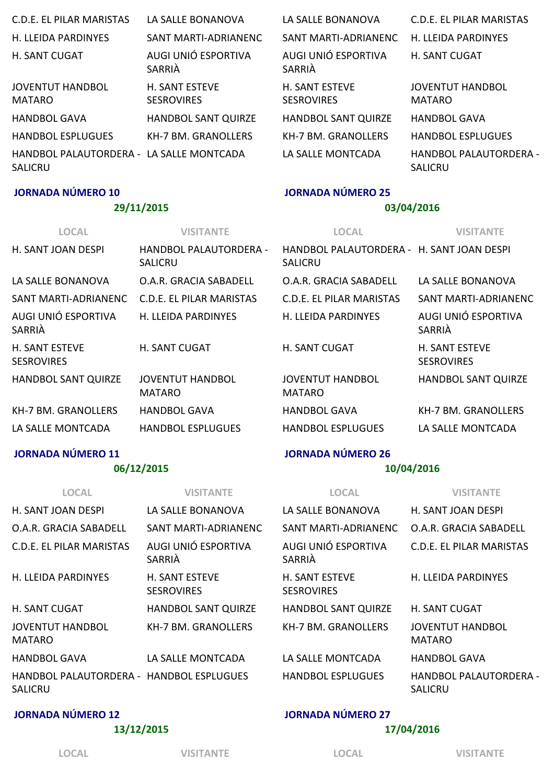| C.D.E. EL PILAR MARISTAS                                   | LA SALLE BONANOVA                          | LA SALLE BONANOVA                          | C.D.E. EL PILAR MARISTAS                        |
|------------------------------------------------------------|--------------------------------------------|--------------------------------------------|-------------------------------------------------|
| H. LLEIDA PARDINYES                                        | SANT MARTI-ADRIANENC                       | SANT MARTI-ADRIANENC                       | <b>H. LLFIDA PARDINYES</b>                      |
| H. SANT CUGAT                                              | AUGI UNIÓ ESPORTIVA<br>SARRIÀ              | AUGI UNIÓ ESPORTIVA<br>SARRIÀ              | <b>H. SANT CUGAT</b>                            |
| <b>JOVENTUT HANDBOL</b><br><b>MATARO</b>                   | <b>H. SANT ESTEVE</b><br><b>SESROVIRES</b> | <b>H. SANT ESTEVE</b><br><b>SESROVIRES</b> | <b>JOVENTUT HANDBOL</b><br><b>MATARO</b>        |
| <b>HANDBOL GAVA</b>                                        | <b>HANDBOL SANT QUIRZE</b>                 | <b>HANDBOL SANT QUIRZE</b>                 | <b>HANDBOL GAVA</b>                             |
| <b>HANDBOL ESPLUGUES</b>                                   | <b>KH-7 BM. GRANOLLERS</b>                 | <b>KH-7 BM, GRANOLLFRS</b>                 | <b>HANDBOL ESPLUGUES</b>                        |
| HANDBOL PALAUTORDERA - LA SALLE MONTCADA<br><b>SALICRU</b> |                                            | LA SALLE MONTCADA                          | <b>HANDBOL PALAUTORDERA -</b><br><b>SALICRU</b> |

#### JORNADA NÚMERO 10

#### 29/11/2015

#### JORNADA NÚMERO 25

#### 03/04/2016

| <b>VISITANTE</b>                                | <b>LOCAL</b>                             | <b>VISITANTE</b>                           |
|-------------------------------------------------|------------------------------------------|--------------------------------------------|
| <b>HANDBOL PALAUTORDERA -</b><br><b>SALICRU</b> | <b>SALICRU</b>                           |                                            |
| O.A.R. GRACIA SABADFLL                          | O.A.R. GRACIA SABADELL                   | LA SALLE BONANOVA                          |
| C.D.F. FL PILAR MARISTAS                        | C.D.F. FL PILAR MARISTAS                 | SANT MARTI-ADRIANENC                       |
| H. LLEIDA PARDINYES                             | H. LLEIDA PARDINYES                      | AUGI UNIÓ ESPORTIVA<br>SARRIÀ              |
| H. SANT CUGAT                                   | H. SANT CUGAT                            | <b>H. SANT ESTEVE</b><br><b>SESROVIRES</b> |
| <b>JOVENTUT HANDBOL</b><br><b>MATARO</b>        | <b>JOVENTUT HANDBOL</b><br><b>MATARO</b> | <b>HANDBOL SANT QUIRZE</b>                 |
| <b>HANDBOL GAVA</b>                             | <b>HANDBOL GAVA</b>                      | <b>KH-7 BM. GRANOLLERS</b>                 |
| <b>HANDBOL ESPLUGUES</b>                        | <b>HANDBOL ESPLUGUES</b>                 | LA SALLE MONTCADA                          |
|                                                 |                                          | HANDBOL PALAUTORDERA - H. SANT JOAN DESPI  |

#### JORNADA NÚMERO 11

#### 06/12/2015

#### LOCAL VISITANTE H. SANT JOAN DESPILE LA SALLE BONANOVA O.A.R. GRACIA SABADELL SANT MARTI‐ADRIANENC C.D.E. EL PILAR MARISTAS AUGI UNIÓ ESPORTIVA SARRIÀ H. LLEIDA PARDINYES H. SANT ESTEVE SESROVIRES H. SANT CUGAT HANDBOL SANT QUIRZE JOVENTUT HANDBOL MATARO KH‐7 BM. GRANOLLERS HANDBOL GAVA LA SALLE MONTCADA HANDBOL PALAUTORDERA ‐ HANDBOL ESPLUGUES **SALICRU** LOCAL VISITANTE LA SALLE BONANOVA H. SANT JOAN DESPI SANT MARTI‐ADRIANENC O.A.R. GRACIA SABADELL AUGI UNIÓ ESPORTIVA SARRIÀ C.D.E. EL PILAR MARISTAS H. SANT ESTEVE SESROVIRES H. LLEIDA PARDINYES HANDBOL SANT QUIRZE H. SANT CUGAT KH-7 BM. GRANOLLERS JOVENTUT HANDBOL MATARO LA SALLE MONTCADA HANDBOL GAVA HANDBOL ESPLUGUES HANDBOL PALAUTORDERA ‐ SALICRU

#### JORNADA NÚMERO 12

#### 13/12/2015

#### JORNADA NÚMERO 27

JORNADA NÚMERO 26

#### 17/04/2016

10/04/2016

LOCAL VISITANTE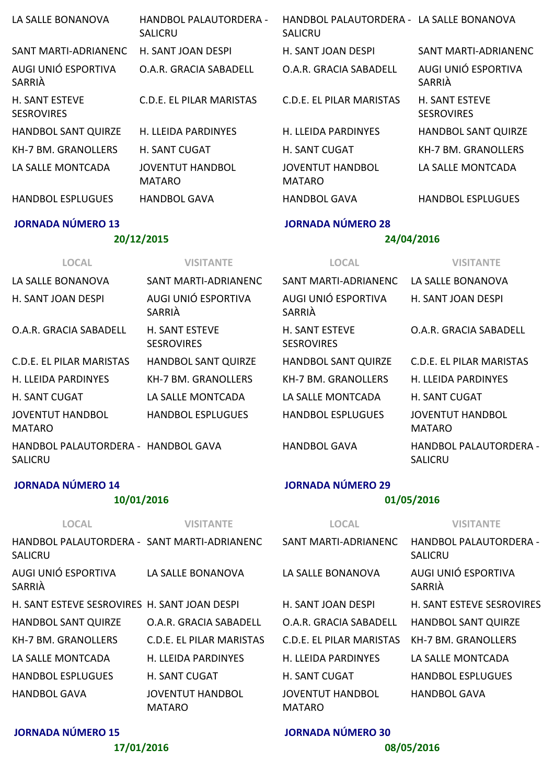| LA SALLE BONANOVA                          | HANDBOL PALAUTORDERA -<br><b>SALICRU</b> | HANDBOL PALAUTORDERA - LA SALLE BONANOVA<br><b>SALICRU</b> |                                            |
|--------------------------------------------|------------------------------------------|------------------------------------------------------------|--------------------------------------------|
| SANT MARTI-ADRIANENC                       | H. SANT JOAN DESPI                       | H. SANT JOAN DESPI                                         | SANT MARTI-ADRIANENC                       |
| AUGI UNIÓ ESPORTIVA<br>SARRIÀ              | O.A.R. GRACIA SABADELL                   | O.A.R. GRACIA SABADELL                                     | AUGI UNIÓ ESPORTIVA<br>SARRIÀ              |
| <b>H. SANT ESTEVE</b><br><b>SESROVIRES</b> | C.D.E. EL PILAR MARISTAS                 | C.D.E. EL PILAR MARISTAS                                   | <b>H. SANT ESTEVE</b><br><b>SESROVIRES</b> |
| <b>HANDBOL SANT QUIRZE</b>                 | <b>H. LLEIDA PARDINYES</b>               | H. LLEIDA PARDINYES                                        | <b>HANDBOL SANT QUIRZE</b>                 |
| <b>KH-7 BM. GRANOLLERS</b>                 | <b>H. SANT CUGAT</b>                     | <b>H. SANT CUGAT</b>                                       | <b>KH-7 BM. GRANOLLERS</b>                 |
| LA SALLE MONTCADA                          | <b>JOVENTUT HANDBOL</b><br><b>MATARO</b> | <b>JOVENTUT HANDBOL</b><br><b>MATARO</b>                   | LA SALLE MONTCADA                          |
| <b>HANDBOL ESPLUGUES</b>                   | <b>HANDBOL GAVA</b>                      | <b>HANDBOL GAVA</b>                                        | <b>HANDBOL ESPLUGUES</b>                   |
| <b>JORNADA NÚMERO 13</b>                   |                                          | <b>JORNADA NÚMERO 28</b>                                   |                                            |

### 20/12/2015

### 24/04/2016

| <b>LOCAL</b>                                   | <b>VISITANTE</b>                           | <b>LOCAL</b>                               | <b>VISITANTE</b>                         |
|------------------------------------------------|--------------------------------------------|--------------------------------------------|------------------------------------------|
| LA SALLE BONANOVA                              | SANT MARTI-ADRIANENC                       | SANT MARTI-ADRIANENC                       | LA SALLE BONANOVA                        |
| H. SANT JOAN DESPI                             | AUGI UNIÓ ESPORTIVA<br>SARRIÀ              | AUGI UNIÓ ESPORTIVA<br>SARRIÀ              | H. SANT JOAN DESPI                       |
| O.A.R. GRACIA SABADELL                         | <b>H. SANT ESTEVE</b><br><b>SESROVIRES</b> | <b>H. SANT ESTEVE</b><br><b>SESROVIRES</b> | O.A.R. GRACIA SABADELL                   |
| C.D.E. EL PILAR MARISTAS                       | <b>HANDBOL SANT QUIRZE</b>                 | <b>HANDBOL SANT QUIRZE</b>                 | <b>C.D.E. EL PILAR MARISTAS</b>          |
| H. LLEIDA PARDINYES                            | KH-7 BM. GRANOLLERS                        | KH-7 BM. GRANOLLERS                        | H. LLEIDA PARDINYES                      |
| H. SANT CUGAT                                  | LA SALLF MONTCADA                          | LA SALLF MONTCADA                          | <b>H. SANT CUGAT</b>                     |
| JOVENTUT HANDBOL<br>MATARO                     | <b>HANDBOL ESPLUGUES</b>                   | <b>HANDBOL ESPLUGUES</b>                   | <b>JOVENTUT HANDBOL</b><br><b>MATARO</b> |
| HANDBOL PALAUTORDERA - HANDBOL GAVA<br>SALICRU |                                            | <b>HANDBOL GAVA</b>                        | HANDBOL PALAUTORDERA -<br><b>SALICRU</b> |
| <b>JORNADA NÚMERO 14</b>                       |                                            | <b>JORNADA NÚMERO 29</b>                   |                                          |

# JORNADA NÚMERO 14

# 10/01/2016

| <b>LOCAL</b>                                           | VISITANTE                                | <b>LOCAL</b>                             | VISITANTE                                |
|--------------------------------------------------------|------------------------------------------|------------------------------------------|------------------------------------------|
| HANDBOL PALAUTORDERA - SANT MARTI-ADRIANENC<br>SALICRU |                                          | SANT MARTI-ADRIANENC                     | HANDBOL PALAUTORDERA -<br><b>SALICRU</b> |
| AUGI UNIÓ ESPORTIVA<br>SARRIÀ                          | LA SALLE BONANOVA                        | LA SALLE BONANOVA                        | AUGI UNIÓ ESPORTIVA<br>SARRIÀ            |
| H. SANT ESTEVE SESROVIRES H. SANT JOAN DESPI           |                                          | H. SANT JOAN DESPI                       | <b>H. SANT ESTEVE SESROVIRES</b>         |
| HANDBOL SANT QUIRZE                                    | O.A.R. GRACIA SABADELL                   | O.A.R. GRACIA SABADELL                   | <b>HANDBOL SANT QUIRZE</b>               |
| KH-7 BM. GRANOLLERS                                    | C.D.E. EL PILAR MARISTAS                 | C.D.E. EL PILAR MARISTAS                 | KH-7 BM. GRANOLLERS                      |
| LA SALLE MONTCADA                                      | H. LLEIDA PARDINYES                      | H. LLEIDA PARDINYES                      | LA SALLE MONTCADA                        |
| <b>HANDBOL ESPLUGUES</b>                               | <b>H. SANT CUGAT</b>                     | <b>H. SANT CUGAT</b>                     | <b>HANDBOL ESPLUGUES</b>                 |
| <b>HANDBOL GAVA</b>                                    | <b>JOVENTUT HANDBOL</b><br><b>MATARO</b> | <b>JOVENTUT HANDBOL</b><br><b>MATARO</b> | <b>HANDBOL GAVA</b>                      |

JORNADA NÚMERO 15

17/01/2016

# JORNADA NÚMERO 30

01/05/2016